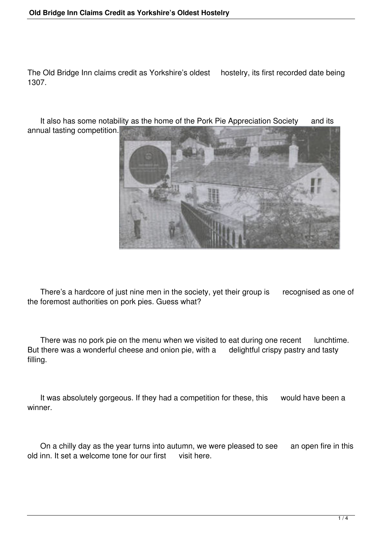The Old Bridge Inn claims credit as Yorkshire's oldest hostelry, its first recorded date being 1307.

It also has some notability as the home of the Pork Pie Appreciation Society and its annual tasting competition.



There's a hardcore of just nine men in the society, yet their group is recognised as one of the foremost authorities on pork pies. Guess what?

There was no pork pie on the menu when we visited to eat during one recent lunchtime. But there was a wonderful cheese and onion pie, with a delightful crispy pastry and tasty filling.

It was absolutely gorgeous. If they had a competition for these, this would have been a winner.

On a chilly day as the year turns into autumn, we were pleased to see an open fire in this old inn. It set a welcome tone for our first visit here.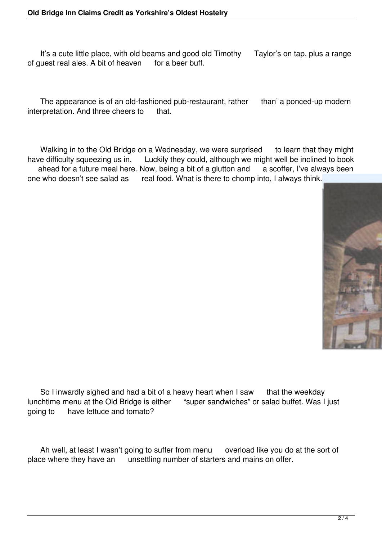It's a cute little place, with old beams and good old Timothy Taylor's on tap, plus a range of guest real ales. A bit of heaven for a beer buff.

The appearance is of an old-fashioned pub-restaurant, rather than' a ponced-up modern interpretation. And three cheers to that.

Walking in to the Old Bridge on a Wednesday, we were surprised to learn that they might have difficulty squeezing us in. Luckily they could, although we might well be inclined to book ahead for a future meal here. Now, being a bit of a glutton and a scoffer, I've always been one who doesn't see salad as real food. What is there to chomp into, I always think.



 So I inwardly sighed and had a bit of a heavy heart when I saw that the weekday lunchtime menu at the Old Bridge is either "super sandwiches" or salad buffet. Was I just going to have lettuce and tomato?

Ah well, at least I wasn't going to suffer from menu overload like you do at the sort of place where they have an unsettling number of starters and mains on offer.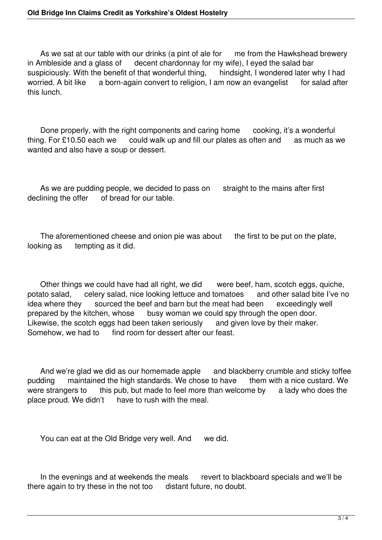As we sat at our table with our drinks (a pint of ale for me from the Hawkshead brewery in Ambleside and a glass of decent chardonnay for my wife), I eyed the salad bar suspiciously. With the benefit of that wonderful thing, hindsight, I wondered later why I had worried. A bit like a born-again convert to religion. I am now an evangelist for salad after a born-again convert to religion, I am now an evangelist for salad after this lunch.

Done properly, with the right components and caring home cooking, it's a wonderful thing. For £10.50 each we could walk up and fill our plates as often and as much as we wanted and also have a soup or dessert.

As we are pudding people, we decided to pass on straight to the mains after first declining the offer of bread for our table.

The aforementioned cheese and onion pie was about the first to be put on the plate, looking as tempting as it did.

Other things we could have had all right, we did vere beef, ham, scotch eggs, quiche,<br>ato salad, celery salad, nice looking lettuce and tomatoes and other salad bite l've no potato salad, celery salad, nice looking lettuce and tomatoes idea where they sourced the beef and barn but the meat had been exceedingly well prepared by the kitchen, whose busy woman we could spy through the open door. Likewise, the scotch eggs had been taken seriously and given love by their maker. Somehow, we had to find room for dessert after our feast.

And we're glad we did as our homemade apple and blackberry crumble and sticky toffee<br>Iding maintained the high standards. We chose to have them with a nice custard. We pudding maintained the high standards. We chose to have them with a nice custard. We were strangers to this pub, but made to feel more than welcome by a lady who does the were strangers to this pub, but made to feel more than welcome by place proud. We didn't have to rush with the meal. have to rush with the meal.

You can eat at the Old Bridge very well. And we did.

In the evenings and at weekends the meals revert to blackboard specials and we'll be there again to try these in the not too distant future, no doubt.